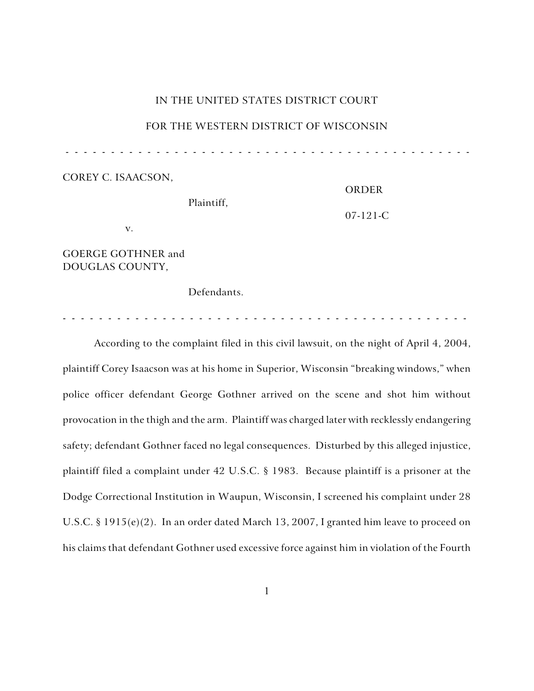# IN THE UNITED STATES DISTRICT COURT

### FOR THE WESTERN DISTRICT OF WISCONSIN

- - - - - - - - - - - - - - - - - - - - - - - - - - - - - - - - - - - - - - - - - - - - -

ORDER

COREY C. ISAACSON,

| <b>ORDER</b>   |
|----------------|
| $07 - 121 - C$ |
|                |
|                |

GOERGE GOTHNER and DOUGLAS COUNTY,

Defendants.

- - - - - - - - - - - - - - - - - - - - - - - - - - - - - - - - - - - - - - - - - - - - -

According to the complaint filed in this civil lawsuit, on the night of April 4, 2004, plaintiff Corey Isaacson was at his home in Superior, Wisconsin "breaking windows," when police officer defendant George Gothner arrived on the scene and shot him without provocation in the thigh and the arm. Plaintiff was charged later with recklessly endangering safety; defendant Gothner faced no legal consequences. Disturbed by this alleged injustice, plaintiff filed a complaint under 42 U.S.C. § 1983. Because plaintiff is a prisoner at the Dodge Correctional Institution in Waupun, Wisconsin, I screened his complaint under 28 U.S.C. § 1915(e)(2). In an order dated March 13, 2007, I granted him leave to proceed on his claims that defendant Gothner used excessive force against him in violation of the Fourth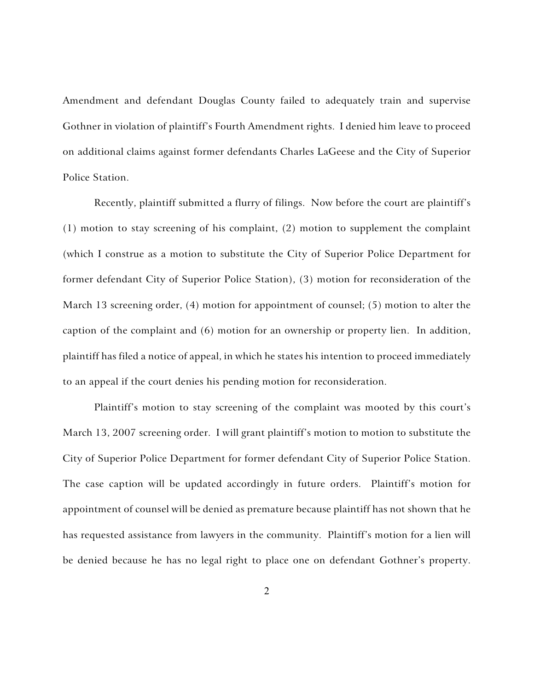Amendment and defendant Douglas County failed to adequately train and supervise Gothner in violation of plaintiff's Fourth Amendment rights. I denied him leave to proceed on additional claims against former defendants Charles LaGeese and the City of Superior Police Station.

Recently, plaintiff submitted a flurry of filings. Now before the court are plaintiff's (1) motion to stay screening of his complaint, (2) motion to supplement the complaint (which I construe as a motion to substitute the City of Superior Police Department for former defendant City of Superior Police Station), (3) motion for reconsideration of the March 13 screening order, (4) motion for appointment of counsel; (5) motion to alter the caption of the complaint and (6) motion for an ownership or property lien. In addition, plaintiff has filed a notice of appeal, in which he states his intention to proceed immediately to an appeal if the court denies his pending motion for reconsideration.

Plaintiff's motion to stay screening of the complaint was mooted by this court's March 13, 2007 screening order. I will grant plaintiff's motion to motion to substitute the City of Superior Police Department for former defendant City of Superior Police Station. The case caption will be updated accordingly in future orders. Plaintiff's motion for appointment of counsel will be denied as premature because plaintiff has not shown that he has requested assistance from lawyers in the community. Plaintiff's motion for a lien will be denied because he has no legal right to place one on defendant Gothner's property.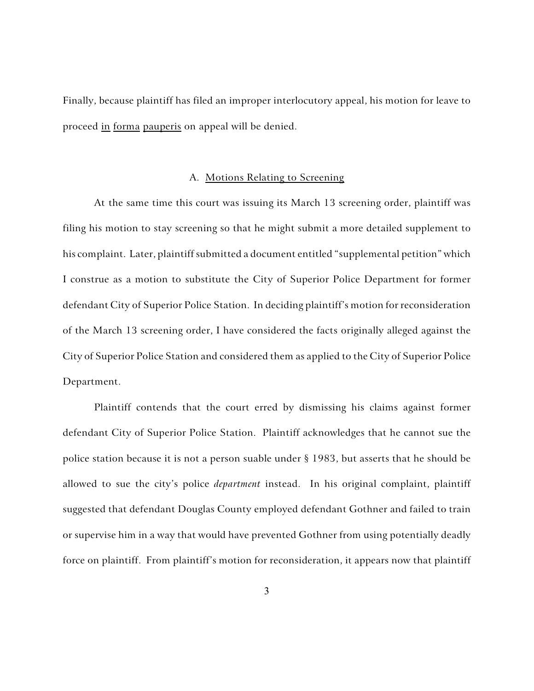Finally, because plaintiff has filed an improper interlocutory appeal, his motion for leave to proceed in forma pauperis on appeal will be denied.

#### A. Motions Relating to Screening

At the same time this court was issuing its March 13 screening order, plaintiff was filing his motion to stay screening so that he might submit a more detailed supplement to his complaint. Later, plaintiff submitted a document entitled "supplemental petition" which I construe as a motion to substitute the City of Superior Police Department for former defendant City of Superior Police Station. In deciding plaintiff's motion for reconsideration of the March 13 screening order, I have considered the facts originally alleged against the City of Superior Police Station and considered them as applied to the City of Superior Police Department.

Plaintiff contends that the court erred by dismissing his claims against former defendant City of Superior Police Station. Plaintiff acknowledges that he cannot sue the police station because it is not a person suable under § 1983, but asserts that he should be allowed to sue the city's police *department* instead. In his original complaint, plaintiff suggested that defendant Douglas County employed defendant Gothner and failed to train or supervise him in a way that would have prevented Gothner from using potentially deadly force on plaintiff. From plaintiff's motion for reconsideration, it appears now that plaintiff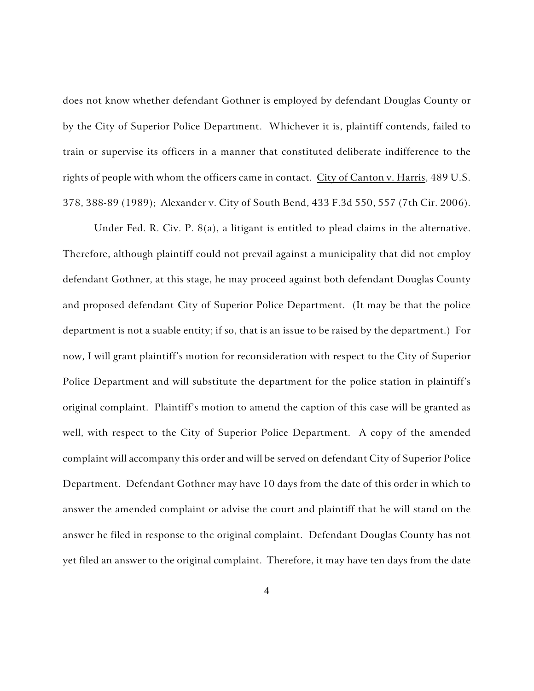does not know whether defendant Gothner is employed by defendant Douglas County or by the City of Superior Police Department. Whichever it is, plaintiff contends, failed to train or supervise its officers in a manner that constituted deliberate indifference to the rights of people with whom the officers came in contact. City of Canton v. Harris, 489 U.S. 378, 388-89 (1989); Alexander v. City of South Bend, 433 F.3d 550, 557 (7th Cir. 2006).

Under Fed. R. Civ. P. 8(a), a litigant is entitled to plead claims in the alternative. Therefore, although plaintiff could not prevail against a municipality that did not employ defendant Gothner, at this stage, he may proceed against both defendant Douglas County and proposed defendant City of Superior Police Department. (It may be that the police department is not a suable entity; if so, that is an issue to be raised by the department.) For now, I will grant plaintiff's motion for reconsideration with respect to the City of Superior Police Department and will substitute the department for the police station in plaintiff's original complaint. Plaintiff's motion to amend the caption of this case will be granted as well, with respect to the City of Superior Police Department. A copy of the amended complaint will accompany this order and will be served on defendant City of Superior Police Department. Defendant Gothner may have 10 days from the date of this order in which to answer the amended complaint or advise the court and plaintiff that he will stand on the answer he filed in response to the original complaint. Defendant Douglas County has not yet filed an answer to the original complaint. Therefore, it may have ten days from the date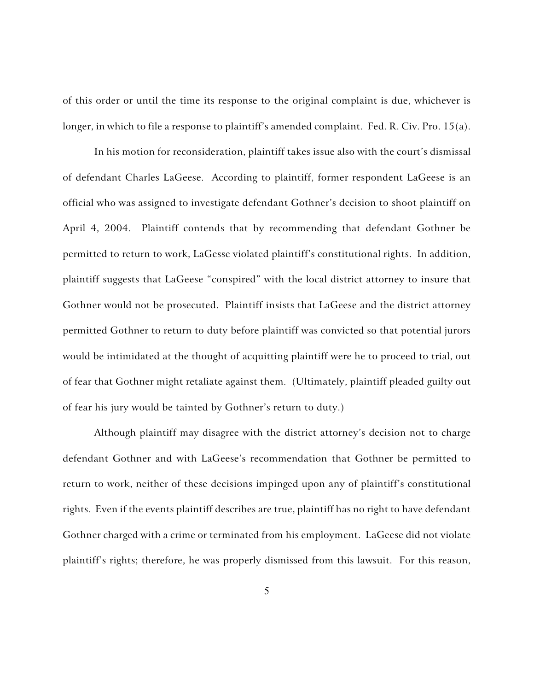of this order or until the time its response to the original complaint is due, whichever is longer, in which to file a response to plaintiff's amended complaint. Fed. R. Civ. Pro. 15(a).

In his motion for reconsideration, plaintiff takes issue also with the court's dismissal of defendant Charles LaGeese. According to plaintiff, former respondent LaGeese is an official who was assigned to investigate defendant Gothner's decision to shoot plaintiff on April 4, 2004. Plaintiff contends that by recommending that defendant Gothner be permitted to return to work, LaGesse violated plaintiff's constitutional rights. In addition, plaintiff suggests that LaGeese "conspired" with the local district attorney to insure that Gothner would not be prosecuted. Plaintiff insists that LaGeese and the district attorney permitted Gothner to return to duty before plaintiff was convicted so that potential jurors would be intimidated at the thought of acquitting plaintiff were he to proceed to trial, out of fear that Gothner might retaliate against them. (Ultimately, plaintiff pleaded guilty out of fear his jury would be tainted by Gothner's return to duty.)

Although plaintiff may disagree with the district attorney's decision not to charge defendant Gothner and with LaGeese's recommendation that Gothner be permitted to return to work, neither of these decisions impinged upon any of plaintiff's constitutional rights. Even if the events plaintiff describes are true, plaintiff has no right to have defendant Gothner charged with a crime or terminated from his employment. LaGeese did not violate plaintiff's rights; therefore, he was properly dismissed from this lawsuit. For this reason,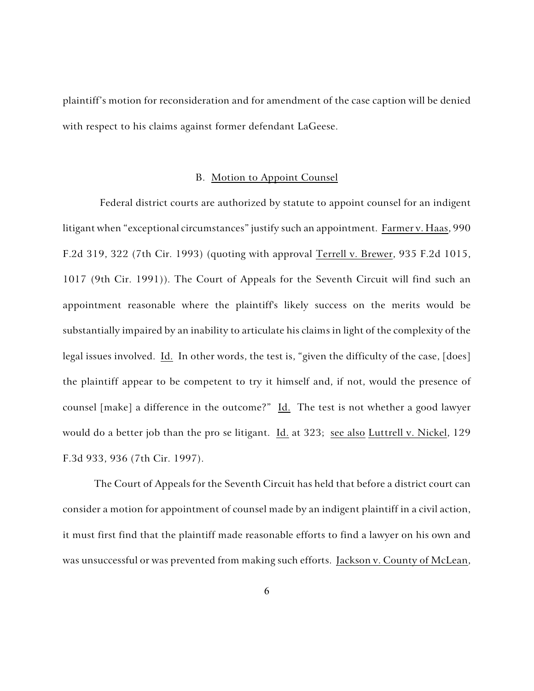plaintiff's motion for reconsideration and for amendment of the case caption will be denied with respect to his claims against former defendant LaGeese.

#### B. Motion to Appoint Counsel

Federal district courts are authorized by statute to appoint counsel for an indigent litigant when "exceptional circumstances" justify such an appointment. Farmer v. Haas, 990 F.2d 319, 322 (7th Cir. 1993) (quoting with approval Terrell v. Brewer, 935 F.2d 1015, 1017 (9th Cir. 1991)). The Court of Appeals for the Seventh Circuit will find such an appointment reasonable where the plaintiff's likely success on the merits would be substantially impaired by an inability to articulate his claims in light of the complexity of the legal issues involved. Id. In other words, the test is, "given the difficulty of the case, [does] the plaintiff appear to be competent to try it himself and, if not, would the presence of counsel [make] a difference in the outcome?" Id. The test is not whether a good lawyer would do a better job than the pro se litigant. Id. at 323; see also Luttrell v. Nickel, 129 F.3d 933, 936 (7th Cir. 1997).

The Court of Appeals for the Seventh Circuit has held that before a district court can consider a motion for appointment of counsel made by an indigent plaintiff in a civil action, it must first find that the plaintiff made reasonable efforts to find a lawyer on his own and was unsuccessful or was prevented from making such efforts. Jackson v. County of McLean,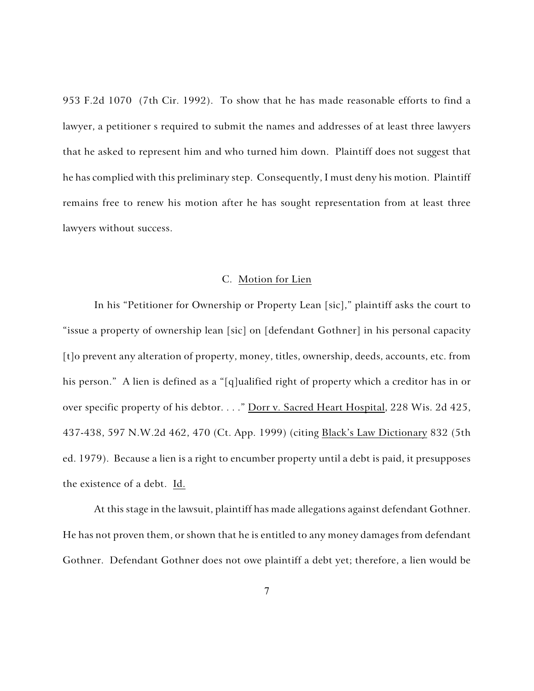953 F.2d 1070 (7th Cir. 1992). To show that he has made reasonable efforts to find a lawyer, a petitioner s required to submit the names and addresses of at least three lawyers that he asked to represent him and who turned him down. Plaintiff does not suggest that he has complied with this preliminary step. Consequently, I must deny his motion. Plaintiff remains free to renew his motion after he has sought representation from at least three lawyers without success.

## C. Motion for Lien

In his "Petitioner for Ownership or Property Lean [sic]," plaintiff asks the court to "issue a property of ownership lean [sic] on [defendant Gothner] in his personal capacity [t]o prevent any alteration of property, money, titles, ownership, deeds, accounts, etc. from his person." A lien is defined as a "[q]ualified right of property which a creditor has in or over specific property of his debtor. . . . " Dorr v. Sacred Heart Hospital, 228 Wis. 2d 425, 437-438, 597 N.W.2d 462, 470 (Ct. App. 1999) (citing Black's Law Dictionary 832 (5th ed. 1979). Because a lien is a right to encumber property until a debt is paid, it presupposes the existence of a debt. Id.

At this stage in the lawsuit, plaintiff has made allegations against defendant Gothner. He has not proven them, or shown that he is entitled to any money damages from defendant Gothner. Defendant Gothner does not owe plaintiff a debt yet; therefore, a lien would be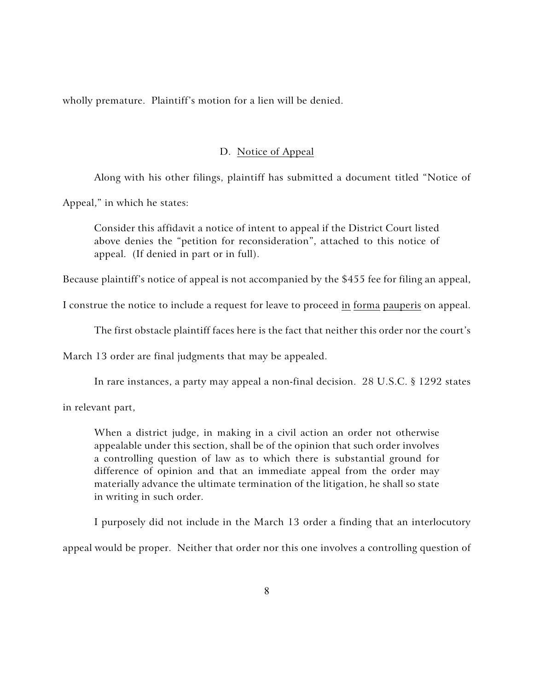wholly premature. Plaintiff's motion for a lien will be denied.

# D. Notice of Appeal

Along with his other filings, plaintiff has submitted a document titled "Notice of

Appeal," in which he states:

Consider this affidavit a notice of intent to appeal if the District Court listed above denies the "petition for reconsideration", attached to this notice of appeal. (If denied in part or in full).

Because plaintiff's notice of appeal is not accompanied by the \$455 fee for filing an appeal,

I construe the notice to include a request for leave to proceed in forma pauperis on appeal.

The first obstacle plaintiff faces here is the fact that neither this order nor the court's

March 13 order are final judgments that may be appealed.

In rare instances, a party may appeal a non-final decision. 28 U.S.C. § 1292 states

in relevant part,

When a district judge, in making in a civil action an order not otherwise appealable under this section, shall be of the opinion that such order involves a controlling question of law as to which there is substantial ground for difference of opinion and that an immediate appeal from the order may materially advance the ultimate termination of the litigation, he shall so state in writing in such order.

I purposely did not include in the March 13 order a finding that an interlocutory appeal would be proper. Neither that order nor this one involves a controlling question of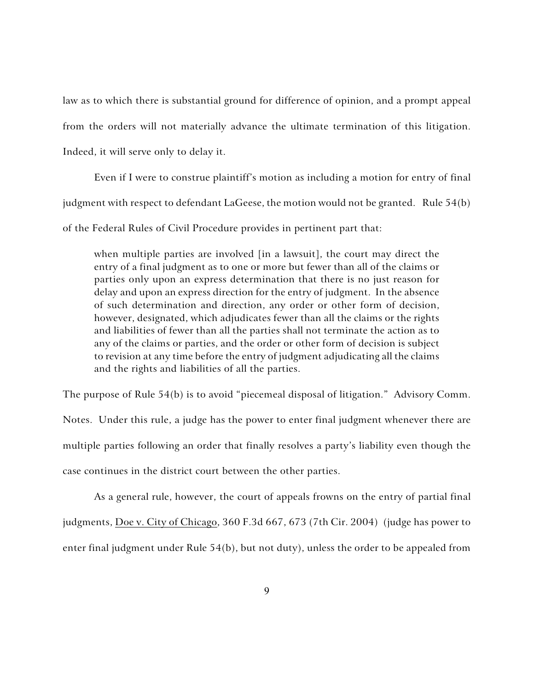law as to which there is substantial ground for difference of opinion, and a prompt appeal from the orders will not materially advance the ultimate termination of this litigation. Indeed, it will serve only to delay it.

Even if I were to construe plaintiff's motion as including a motion for entry of final judgment with respect to defendant LaGeese, the motion would not be granted. Rule 54(b) of the Federal Rules of Civil Procedure provides in pertinent part that:

when multiple parties are involved [in a lawsuit], the court may direct the entry of a final judgment as to one or more but fewer than all of the claims or parties only upon an express determination that there is no just reason for delay and upon an express direction for the entry of judgment. In the absence of such determination and direction, any order or other form of decision, however, designated, which adjudicates fewer than all the claims or the rights and liabilities of fewer than all the parties shall not terminate the action as to any of the claims or parties, and the order or other form of decision is subject to revision at any time before the entry of judgment adjudicating all the claims and the rights and liabilities of all the parties.

The purpose of Rule 54(b) is to avoid "piecemeal disposal of litigation." Advisory Comm. Notes. Under this rule, a judge has the power to enter final judgment whenever there are multiple parties following an order that finally resolves a party's liability even though the case continues in the district court between the other parties.

As a general rule, however, the court of appeals frowns on the entry of partial final judgments, Doe v. City of Chicago, 360 F.3d 667, 673 (7th Cir. 2004) (judge has power to enter final judgment under Rule 54(b), but not duty), unless the order to be appealed from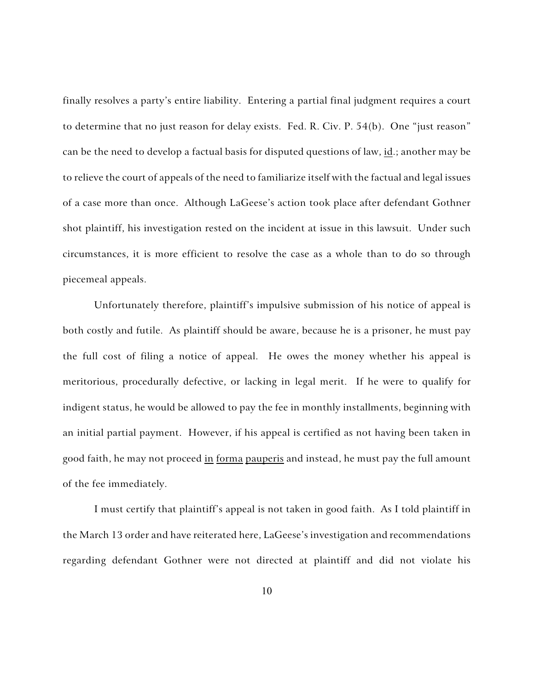finally resolves a party's entire liability. Entering a partial final judgment requires a court to determine that no just reason for delay exists. Fed. R. Civ. P. 54(b). One "just reason" can be the need to develop a factual basis for disputed questions of law,  $id$ ; another may be to relieve the court of appeals of the need to familiarize itself with the factual and legal issues of a case more than once. Although LaGeese's action took place after defendant Gothner shot plaintiff, his investigation rested on the incident at issue in this lawsuit. Under such circumstances, it is more efficient to resolve the case as a whole than to do so through piecemeal appeals.

Unfortunately therefore, plaintiff's impulsive submission of his notice of appeal is both costly and futile. As plaintiff should be aware, because he is a prisoner, he must pay the full cost of filing a notice of appeal. He owes the money whether his appeal is meritorious, procedurally defective, or lacking in legal merit. If he were to qualify for indigent status, he would be allowed to pay the fee in monthly installments, beginning with an initial partial payment. However, if his appeal is certified as not having been taken in good faith, he may not proceed in forma pauperis and instead, he must pay the full amount of the fee immediately.

I must certify that plaintiff's appeal is not taken in good faith. As I told plaintiff in the March 13 order and have reiterated here, LaGeese's investigation and recommendations regarding defendant Gothner were not directed at plaintiff and did not violate his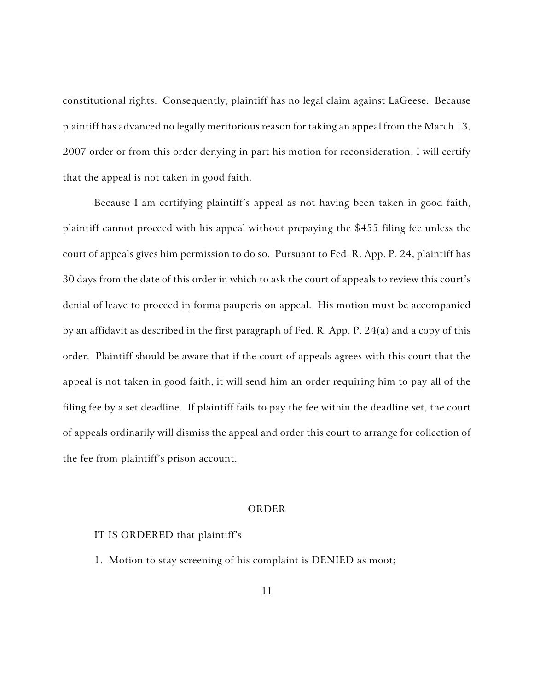constitutional rights. Consequently, plaintiff has no legal claim against LaGeese. Because plaintiff has advanced no legally meritorious reason for taking an appeal from the March 13, 2007 order or from this order denying in part his motion for reconsideration, I will certify that the appeal is not taken in good faith.

Because I am certifying plaintiff's appeal as not having been taken in good faith, plaintiff cannot proceed with his appeal without prepaying the \$455 filing fee unless the court of appeals gives him permission to do so. Pursuant to Fed. R. App. P. 24, plaintiff has 30 days from the date of this order in which to ask the court of appeals to review this court's denial of leave to proceed in forma pauperis on appeal. His motion must be accompanied by an affidavit as described in the first paragraph of Fed. R. App. P. 24(a) and a copy of this order. Plaintiff should be aware that if the court of appeals agrees with this court that the appeal is not taken in good faith, it will send him an order requiring him to pay all of the filing fee by a set deadline. If plaintiff fails to pay the fee within the deadline set, the court of appeals ordinarily will dismiss the appeal and order this court to arrange for collection of the fee from plaintiff's prison account.

### ORDER

### IT IS ORDERED that plaintiff's

1. Motion to stay screening of his complaint is DENIED as moot;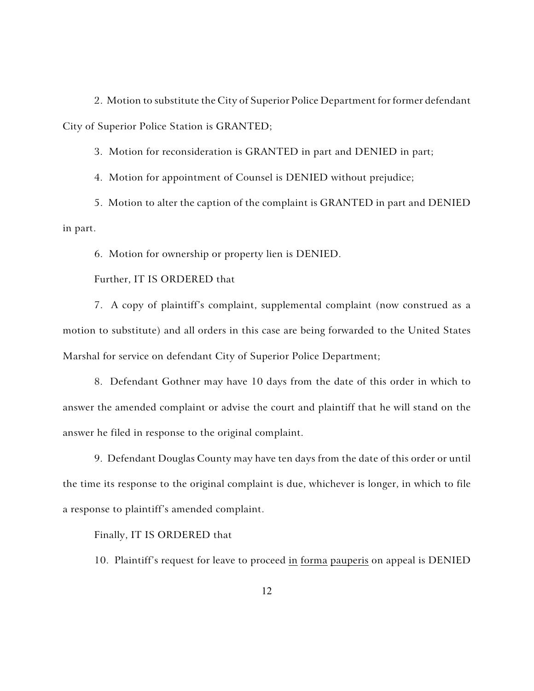2. Motion to substitute the City of Superior Police Department for former defendant City of Superior Police Station is GRANTED;

3. Motion for reconsideration is GRANTED in part and DENIED in part;

4. Motion for appointment of Counsel is DENIED without prejudice;

5. Motion to alter the caption of the complaint is GRANTED in part and DENIED in part.

6. Motion for ownership or property lien is DENIED.

Further, IT IS ORDERED that

7. A copy of plaintiff's complaint, supplemental complaint (now construed as a motion to substitute) and all orders in this case are being forwarded to the United States Marshal for service on defendant City of Superior Police Department;

8. Defendant Gothner may have 10 days from the date of this order in which to answer the amended complaint or advise the court and plaintiff that he will stand on the answer he filed in response to the original complaint.

9. Defendant Douglas County may have ten days from the date of this order or until the time its response to the original complaint is due, whichever is longer, in which to file a response to plaintiff's amended complaint.

Finally, IT IS ORDERED that

10. Plaintiff's request for leave to proceed in forma pauperis on appeal is DENIED